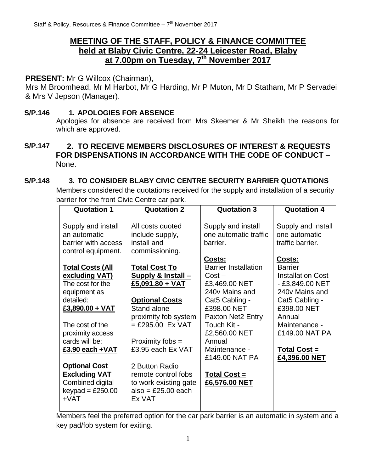# **MEETING OF THE STAFF, POLICY & FINANCE COMMITTEE held at Blaby Civic Centre, 22-24 Leicester Road, Blaby at 7.00pm on Tuesday, 7 th November 2017**

## **PRESENT:** Mr G Willcox (Chairman),

Mrs M Broomhead, Mr M Harbot, Mr G Harding, Mr P Muton, Mr D Statham, Mr P Servadei & Mrs V Jepson (Manager).

## **S/P.146 1. APOLOGIES FOR ABSENCE**

Apologies for absence are received from Mrs Skeemer & Mr Sheikh the reasons for which are approved.

## **S/P.147 2. TO RECEIVE MEMBERS DISCLOSURES OF INTEREST & REQUESTS FOR DISPENSATIONS IN ACCORDANCE WITH THE CODE OF CONDUCT –** None.

## **S/P.148 3. TO CONSIDER BLABY CIVIC CENTRE SECURITY BARRIER QUOTATIONS**

Members considered the quotations received for the supply and installation of a security barrier for the front Civic Centre car park.

| <b>Quotation 1</b>                                                                                         | <b>Quotation 2</b>                                                                                                 | <b>Quotation 3</b>                                                                                | <b>Quotation 4</b>                                                                                       |
|------------------------------------------------------------------------------------------------------------|--------------------------------------------------------------------------------------------------------------------|---------------------------------------------------------------------------------------------------|----------------------------------------------------------------------------------------------------------|
| Supply and install<br>an automatic<br>barrier with access<br>control equipment.<br><b>Total Costs (All</b> | All costs quoted<br>include supply,<br>install and<br>commissioning.<br><b>Total Cost To</b>                       | Supply and install<br>one automatic traffic<br>barrier.<br>Costs:<br><b>Barrier Installation</b>  | Supply and install<br>one automatic<br>traffic barrier.<br><b>Costs:</b><br><b>Barrier</b>               |
| excluding VAT)<br>The cost for the<br>equipment as<br>detailed:<br>$£3,890.00 + VAT$                       | <b>Supply &amp; Install –</b><br>$£5,091.80 + VAT$<br><b>Optional Costs</b><br>Stand alone<br>proximity fob system | $Cost -$<br>£3,469.00 NET<br>240y Mains and<br>Cat5 Cabling -<br>£398,00 NET<br>Paxton Net2 Entry | <b>Installation Cost</b><br>- £3,849.00 NET<br>240y Mains and<br>Cat5 Cabling -<br>£398.00 NET<br>Annual |
| The cost of the<br>proximity access<br>cards will be:<br>£3.90 each + VAT                                  | $=$ £295.00 Ex VAT<br>Proximity fobs =<br>£3.95 each Ex VAT                                                        | Touch Kit -<br>£2,560.00 NET<br>Annual<br>Maintenance -<br>£149.00 NAT PA                         | Maintenance -<br>£149.00 NAT PA<br><b>Total Cost =</b><br>£4,396.00 NET                                  |
| <b>Optional Cost</b><br><b>Excluding VAT</b><br>Combined digital<br>keypad = $£250.00$<br>$+VAT$           | 2 Button Radio<br>remote control fobs<br>to work existing gate<br>$also = £25.00 each$<br>Ex VAT                   | <b>Total Cost =</b><br>£6,576.00 NET                                                              |                                                                                                          |

Members feel the preferred option for the car park barrier is an automatic in system and a key pad/fob system for exiting.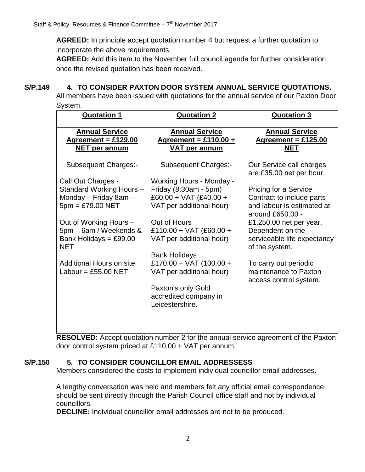**AGREED:** In principle accept quotation number 4 but request a further quotation to incorporate the above requirements.

**AGREED:** Add this item to the November full council agenda for further consideration once the revised quotation has been received.

## **S/P.149 4. TO CONSIDER PAXTON DOOR SYSTEM ANNUAL SERVICE QUOTATIONS.**

All members have been issued with quotations for the annual service of our Paxton Door System.

| <b>Quotation 1</b>                     | <b>Quotation 2</b>                       | <b>Quotation 3</b>                                   |
|----------------------------------------|------------------------------------------|------------------------------------------------------|
| <b>Annual Service</b>                  | <b>Annual Service</b>                    | <b>Annual Service</b>                                |
| Agreement = $£129.00$                  | Agreement = £110.00 +                    | Agreement = $£125.00$                                |
| <b>NET per annum</b>                   | <b>VAT per annum</b>                     | <b>NET</b>                                           |
| Subsequent Charges:-                   | <b>Subsequent Charges:-</b>              | Our Service call charges<br>are £35.00 net per hour. |
| Call Out Charges -                     | Working Hours - Monday -                 |                                                      |
| Standard Working Hours -               | Friday (8:30am - 5pm)                    | Pricing for a Service                                |
| Monday - Friday 8am -                  | £60.00 + VAT (£40.00 +                   | Contract to include parts                            |
| $5pm = £79.00$ NET                     | VAT per additional hour)                 | and labour is estimated at<br>around £650.00 -       |
| Out of Working Hours -                 | Out of Hours                             | £1,250.00 net per year.                              |
| 5pm - 6am / Weekends &                 | £110.00 + VAT (£60.00 +                  | Dependent on the                                     |
| Bank Holidays = $£99.00$<br><b>NET</b> | VAT per additional hour)                 | serviceable life expectancy<br>of the system.        |
|                                        | <b>Bank Holidays</b>                     |                                                      |
| Additional Hours on site               | £170.00 + VAT (100.00 +                  | To carry out periodic                                |
| Labour = $£55.00$ NET                  | VAT per additional hour)                 | maintenance to Paxton                                |
|                                        |                                          | access control system.                               |
|                                        | Paxton's only Gold                       |                                                      |
|                                        | accredited company in<br>Leicestershire. |                                                      |
|                                        |                                          |                                                      |
|                                        |                                          |                                                      |
|                                        |                                          |                                                      |

**RESOLVED:** Accept quotation number 2 for the annual service agreement of the Paxton door control system priced at £110.00 + VAT per annum.

## **S/P.150 5. TO CONSIDER COUNCILLOR EMAIL ADDRESSESS**

Members considered the costs to implement individual councillor email addresses.

A lengthy conversation was held and members felt any official email correspondence should be sent directly through the Parish Council office staff and not by individual councillors.

**DECLINE:** Individual councillor email addresses are not to be produced.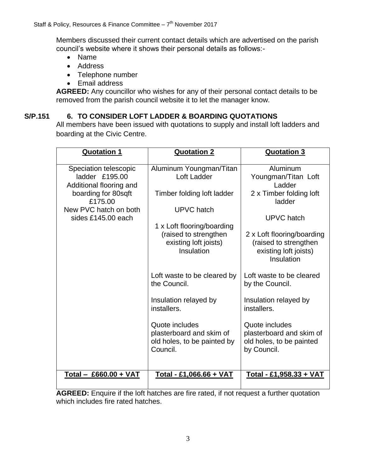Members discussed their current contact details which are advertised on the parish council's website where it shows their personal details as follows:-

- Name
- Address
- Telephone number
- Email address

**AGREED:** Any councillor who wishes for any of their personal contact details to be removed from the parish council website it to let the manager know.

#### **S/P.151 6. TO CONSIDER LOFT LADDER & BOARDING QUOTATIONS**

All members have been issued with quotations to supply and install loft ladders and boarding at the Civic Centre.

| <b>Quotation 1</b>                                                                                   | <b>Quotation 2</b>                                                                                              | <b>Quotation 3</b>                                                                                       |
|------------------------------------------------------------------------------------------------------|-----------------------------------------------------------------------------------------------------------------|----------------------------------------------------------------------------------------------------------|
| Speciation telescopic<br>ladder £195.00<br>Additional flooring and<br>boarding for 80sqft<br>£175.00 | Aluminum Youngman/Titan<br>Loft Ladder<br>Timber folding loft ladder                                            | Aluminum<br>Youngman/Titan Loft<br>Ladder<br>2 x Timber folding loft<br>ladder                           |
| New PVC hatch on both<br>sides £145.00 each                                                          | <b>UPVC</b> hatch<br>1 x Loft flooring/boarding<br>(raised to strengthen<br>existing loft joists)<br>Insulation | UPVC hatch<br>2 x Loft flooring/boarding<br>(raised to strengthen<br>existing loft joists)<br>Insulation |
|                                                                                                      | Loft waste to be cleared by<br>the Council.<br>Insulation relayed by                                            | Loft waste to be cleared<br>by the Council.<br>Insulation relayed by                                     |
|                                                                                                      | installers.<br>Quote includes<br>plasterboard and skim of<br>old holes, to be painted by<br>Council.            | installers.<br>Quote includes<br>plasterboard and skim of<br>old holes, to be painted<br>by Council.     |
| Total - £660.00 + VAT                                                                                | Total - £1,066.66 + VAT                                                                                         | Total - £1,958.33 + VAT                                                                                  |

**AGREED:** Enquire if the loft hatches are fire rated, if not request a further quotation which includes fire rated hatches.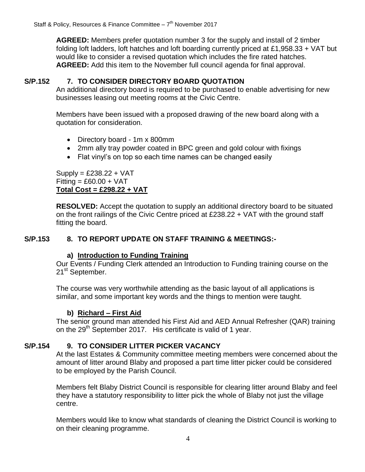**AGREED:** Members prefer quotation number 3 for the supply and install of 2 timber folding loft ladders, loft hatches and loft boarding currently priced at £1,958.33 + VAT but would like to consider a revised quotation which includes the fire rated hatches. **AGREED:** Add this item to the November full council agenda for final approval.

#### **S/P.152 7. TO CONSIDER DIRECTORY BOARD QUOTATION**

An additional directory board is required to be purchased to enable advertising for new businesses leasing out meeting rooms at the Civic Centre.

Members have been issued with a proposed drawing of the new board along with a quotation for consideration.

- Directory board 1m x 800mm
- 2mm ally tray powder coated in BPC green and gold colour with fixings
- Flat vinyl's on top so each time names can be changed easily

 $Supply = £238.22 + VAT$  $Fitting = £60.00 + VAT$ **Total Cost = £298.22 + VAT**

**RESOLVED:** Accept the quotation to supply an additional directory board to be situated on the front railings of the Civic Centre priced at £238.22 + VAT with the ground staff fitting the board.

## **S/P.153 8. TO REPORT UPDATE ON STAFF TRAINING & MEETINGS:-**

#### **a) Introduction to Funding Training**

Our Events / Funding Clerk attended an Introduction to Funding training course on the 21<sup>st</sup> September.

The course was very worthwhile attending as the basic layout of all applications is similar, and some important key words and the things to mention were taught.

#### **b) Richard – First Aid**

The senior ground man attended his First Aid and AED Annual Refresher (QAR) training on the  $29<sup>th</sup>$  September 2017. His certificate is valid of 1 year.

#### **S/P.154 9. TO CONSIDER LITTER PICKER VACANCY**

At the last Estates & Community committee meeting members were concerned about the amount of litter around Blaby and proposed a part time litter picker could be considered to be employed by the Parish Council.

Members felt Blaby District Council is responsible for clearing litter around Blaby and feel they have a statutory responsibility to litter pick the whole of Blaby not just the village centre.

Members would like to know what standards of cleaning the District Council is working to on their cleaning programme.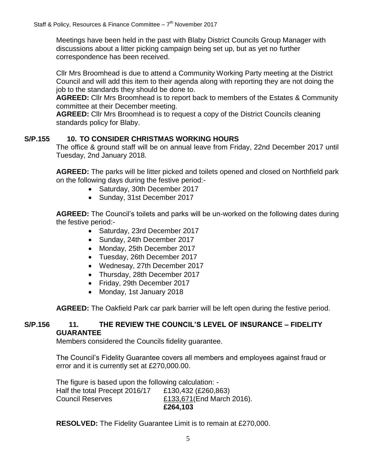Meetings have been held in the past with Blaby District Councils Group Manager with discussions about a litter picking campaign being set up, but as yet no further correspondence has been received.

Cllr Mrs Broomhead is due to attend a Community Working Party meeting at the District Council and will add this item to their agenda along with reporting they are not doing the job to the standards they should be done to.

**AGREED:** Cllr Mrs Broomhead is to report back to members of the Estates & Community committee at their December meeting.

**AGREED:** Cllr Mrs Broomhead is to request a copy of the District Councils cleaning standards policy for Blaby.

## **S/P.155 10. TO CONSIDER CHRISTMAS WORKING HOURS**

The office & ground staff will be on annual leave from Friday, 22nd December 2017 until Tuesday, 2nd January 2018.

**AGREED:** The parks will be litter picked and toilets opened and closed on Northfield park on the following days during the festive period:-

- Saturday, 30th December 2017
- Sunday, 31st December 2017

**AGREED:** The Council's toilets and parks will be un-worked on the following dates during the festive period:-

- Saturday, 23rd December 2017
- Sunday, 24th December 2017
- Monday, 25th December 2017
- Tuesday, 26th December 2017
- Wednesay, 27th December 2017
- Thursday, 28th December 2017
- Friday, 29th December 2017
- Monday, 1st January 2018

**AGREED:** The Oakfield Park car park barrier will be left open during the festive period.

#### **S/P.156 11. THE REVIEW THE COUNCIL'S LEVEL OF INSURANCE – FIDELITY GUARANTEE**

Members considered the Councils fidelity guarantee.

The Council's Fidelity Guarantee covers all members and employees against fraud or error and it is currently set at £270,000.00.

The figure is based upon the following calculation: - Half the total Precept 2016/17 £130,432 (£260,863) Council Reserves £133,671(End March 2016). **£264,103** 

**RESOLVED:** The Fidelity Guarantee Limit is to remain at £270,000.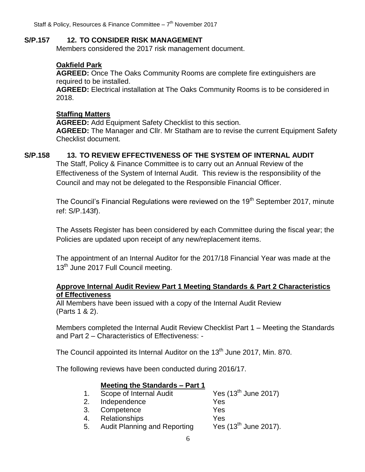Staff & Policy, Resources & Finance Committee - 7<sup>th</sup> November 2017

#### **S/P.157 12. TO CONSIDER RISK MANAGEMENT**

Members considered the 2017 risk management document.

## **Oakfield Park**

**AGREED:** Once The Oaks Community Rooms are complete fire extinguishers are required to be installed.

**AGREED:** Electrical installation at The Oaks Community Rooms is to be considered in 2018.

#### **Staffing Matters**

**AGREED:** Add Equipment Safety Checklist to this section. **AGREED:** The Manager and Cllr. Mr Statham are to revise the current Equipment Safety Checklist document.

#### **S/P.158 13. TO REVIEW EFFECTIVENESS OF THE SYSTEM OF INTERNAL AUDIT**

The Staff, Policy & Finance Committee is to carry out an Annual Review of the Effectiveness of the System of Internal Audit. This review is the responsibility of the Council and may not be delegated to the Responsible Financial Officer.

The Council's Financial Regulations were reviewed on the 19<sup>th</sup> September 2017, minute ref: S/P.143f).

The Assets Register has been considered by each Committee during the fiscal year; the Policies are updated upon receipt of any new/replacement items.

The appointment of an Internal Auditor for the 2017/18 Financial Year was made at the 13<sup>th</sup> June 2017 Full Council meeting.

#### **Approve Internal Audit Review Part 1 Meeting Standards & Part 2 Characteristics of Effectiveness**

All Members have been issued with a copy of the Internal Audit Review (Parts 1 & 2).

Members completed the Internal Audit Review Checklist Part 1 – Meeting the Standards and Part 2 – Characteristics of Effectiveness: -

The Council appointed its Internal Auditor on the  $13<sup>th</sup>$  June 2017, Min. 870.

The following reviews have been conducted during 2016/17.

#### **Meeting the Standards – Part 1**

|                               | 1. Scope of Internal Audit | Yes $(13^{\text{th}}$ June 2017) |
|-------------------------------|----------------------------|----------------------------------|
|                               | 2. Independence            | Yes                              |
|                               | 3. Competence              | Yes                              |
| $\overline{a}$ $\overline{a}$ | Deletter and the co        |                                  |

4. Relationships Yes<br>5. Audit Planning and Reporting Yes (13<sup>th</sup> June 2017). 5. Audit Planning and Reporting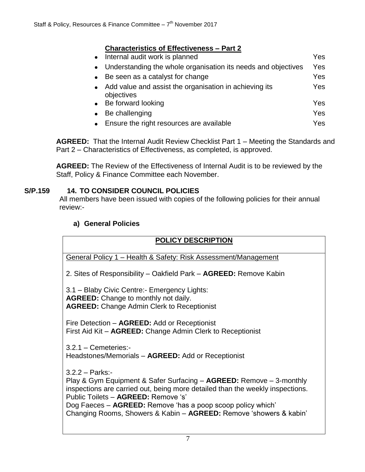## **Characteristics of Effectiveness – Part 2**

| Internal audit work is planned<br>$\bullet$                                       |     |
|-----------------------------------------------------------------------------------|-----|
| Understanding the whole organisation its needs and objectives<br>$\bullet$        | Yes |
| Be seen as a catalyst for change<br>$\bullet$                                     | Yes |
| Add value and assist the organisation in achieving its<br>$\bullet$<br>objectives | Yes |
| • Be forward looking                                                              | Yes |
| Be challenging                                                                    | Yes |
| Ensure the right resources are available                                          | Yes |

**AGREED:** That the Internal Audit Review Checklist Part 1 – Meeting the Standards and Part 2 – Characteristics of Effectiveness, as completed, is approved.

**AGREED:** The Review of the Effectiveness of Internal Audit is to be reviewed by the Staff, Policy & Finance Committee each November.

## **S/P.159 14. TO CONSIDER COUNCIL POLICIES**

All members have been issued with copies of the following policies for their annual review:-

## **a) General Policies**

## **POLICY DESCRIPTION**

General Policy 1 – Health & Safety: Risk Assessment/Management

2. Sites of Responsibility – Oakfield Park – **AGREED:** Remove Kabin

3.1 – Blaby Civic Centre:- Emergency Lights: **AGREED:** Change to monthly not daily. **AGREED:** Change Admin Clerk to Receptionist

Fire Detection – **AGREED:** Add or Receptionist First Aid Kit – **AGREED:** Change Admin Clerk to Receptionist

3.2.1 – Cemeteries:- Headstones/Memorials – **AGREED:** Add or Receptionist

3.2.2 – Parks:-

Play & Gym Equipment & Safer Surfacing – **AGREED:** Remove – 3-monthly inspections are carried out, being more detailed than the weekly inspections. Public Toilets – **AGREED:** Remove 's'

Dog Faeces – **AGREED:** Remove 'has a poop scoop policy which' Changing Rooms, Showers & Kabin – **AGREED:** Remove 'showers & kabin'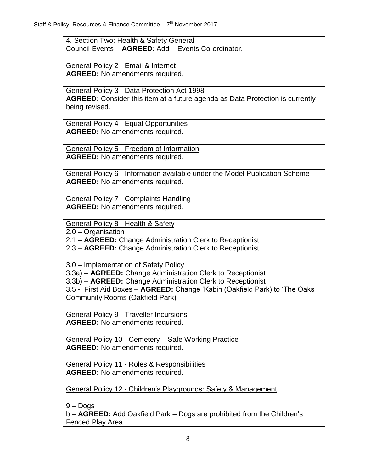4. Section Two: Health & Safety General Council Events – **AGREED:** Add – Events Co-ordinator.

General Policy 2 - Email & Internet **AGREED:** No amendments required.

General Policy 3 - Data Protection Act 1998

**AGREED:** Consider this item at a future agenda as Data Protection is currently being revised.

General Policy 4 - Equal Opportunities **AGREED:** No amendments required.

General Policy 5 - Freedom of Information **AGREED:** No amendments required.

General Policy 6 - Information available under the Model Publication Scheme **AGREED:** No amendments required.

General Policy 7 - Complaints Handling **AGREED:** No amendments required.

General Policy 8 - Health & Safety

2.0 – Organisation

2.1 – **AGREED:** Change Administration Clerk to Receptionist

2.3 – **AGREED:** Change Administration Clerk to Receptionist

3.0 – Implementation of Safety Policy

3.3a) – **AGREED:** Change Administration Clerk to Receptionist

3.3b) – **AGREED:** Change Administration Clerk to Receptionist

3.5 - First Aid Boxes – **AGREED:** Change 'Kabin (Oakfield Park) to 'The Oaks Community Rooms (Oakfield Park)

General Policy 9 - Traveller Incursions **AGREED:** No amendments required.

General Policy 10 - Cemetery – Safe Working Practice **AGREED:** No amendments required.

General Policy 11 - Roles & Responsibilities **AGREED:** No amendments required.

General Policy 12 - Children's Playgrounds: Safety & Management

9 – Dogs

b – **AGREED:** Add Oakfield Park – Dogs are prohibited from the Children's Fenced Play Area.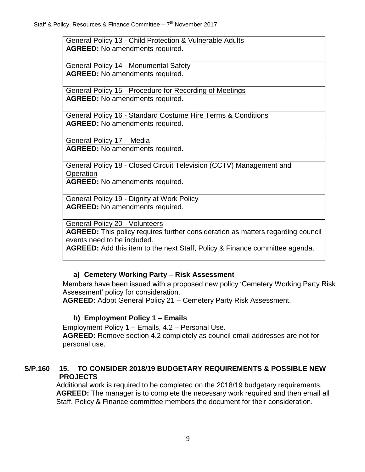General Policy 13 - Child Protection & Vulnerable Adults **AGREED:** No amendments required.

General Policy 14 - Monumental Safety **AGREED:** No amendments required.

General Policy 15 - Procedure for Recording of Meetings **AGREED:** No amendments required.

General Policy 16 - Standard Costume Hire Terms & Conditions **AGREED:** No amendments required.

General Policy 17 – Media **AGREED:** No amendments required.

General Policy 18 - Closed Circuit Television (CCTV) Management and **Operation** 

**AGREED:** No amendments required.

General Policy 19 - Dignity at Work Policy **AGREED:** No amendments required.

General Policy 20 - Volunteers

**AGREED:** This policy requires further consideration as matters regarding council events need to be included.

**AGREED:** Add this item to the next Staff, Policy & Finance committee agenda.

## **a) Cemetery Working Party – Risk Assessment**

Members have been issued with a proposed new policy 'Cemetery Working Party Risk Assessment' policy for consideration.

**AGREED:** Adopt General Policy 21 – Cemetery Party Risk Assessment.

## **b) Employment Policy 1 – Emails**

Employment Policy 1 – Emails, 4.2 – Personal Use. **AGREED:** Remove section 4.2 completely as council email addresses are not for personal use.

## **S/P.160 15. TO CONSIDER 2018/19 BUDGETARY REQUIREMENTS & POSSIBLE NEW PROJECTS**

Additional work is required to be completed on the 2018/19 budgetary requirements. **AGREED:** The manager is to complete the necessary work required and then email all Staff, Policy & Finance committee members the document for their consideration.